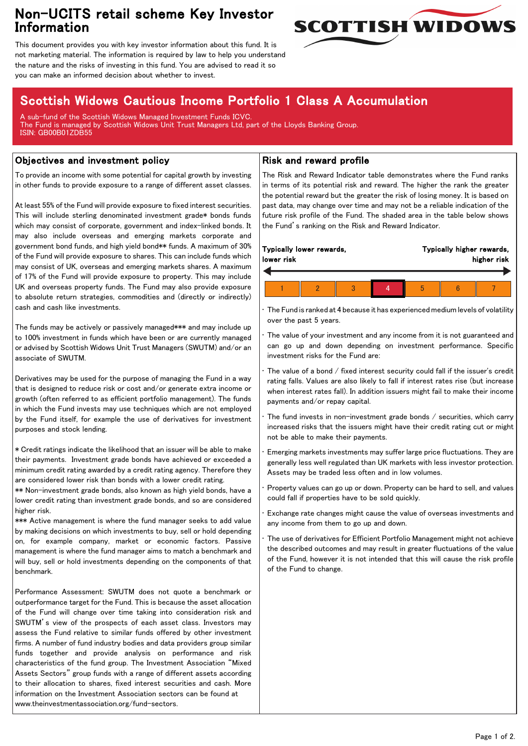## Non-UCITS retail scheme Key Investor Information



This document provides you with key investor information about this fund. It is not marketing material. The information is required by law to help you understand the nature and the risks of investing in this fund. You are advised to read it so you can make an informed decision about whether to invest.

# Scottish Widows Cautious Income Portfolio 1 Class A Accumulation

A sub-fund of the Scottish Widows Managed Investment Funds ICVC. The Fund is managed by Scottish Widows Unit Trust Managers Ltd, part of the Lloyds Banking Group. ISIN: GB00B01ZDB55

## Objectives and investment policy

To provide an income with some potential for capital growth by investing in other funds to provide exposure to a range of different asset classes.

At least 55% of the Fund will provide exposure to fixed interest securities. This will include sterling denominated investment grade\* bonds funds which may consist of corporate, government and index-linked bonds. It may also include overseas and emerging markets corporate and government bond funds, and high yield bond\*\* funds. A maximum of 30% of the Fund will provide exposure to shares. This can include funds which may consist of UK, overseas and emerging markets shares. A maximum of 17% of the Fund will provide exposure to property. This may include UK and overseas property funds. The Fund may also provide exposure to absolute return strategies, commodities and (directly or indirectly) cash and cash like investments.

The funds may be actively or passively managed\*\*\* and may include up to 100% investment in funds which have been or are currently managed or advised by Scottish Widows Unit Trust Managers (SWUTM) and/or an associate of SWUTM.

Derivatives may be used for the purpose of managing the Fund in a way that is designed to reduce risk or cost and/or generate extra income or growth (often referred to as efficient portfolio management). The funds in which the Fund invests may use techniques which are not employed by the Fund itself, for example the use of derivatives for investment purposes and stock lending.

\* Credit ratings indicate the likelihood that an issuer will be able to make their payments. Investment grade bonds have achieved or exceeded a minimum credit rating awarded by a credit rating agency. Therefore they are considered lower risk than bonds with a lower credit rating.

\*\* Non-investment grade bonds, also known as high yield bonds, have a lower credit rating than investment grade bonds, and so are considered higher risk.

\*\*\* Active management is where the fund manager seeks to add value by making decisions on which investments to buy, sell or hold depending on, for example company, market or economic factors. Passive management is where the fund manager aims to match a benchmark and will buy, sell or hold investments depending on the components of that benchmark.

Performance Assessment: SWUTM does not quote a benchmark or outperformance target for the Fund. This is because the asset allocation of the Fund will change over time taking into consideration risk and SWUTM's view of the prospects of each asset class. Investors may assess the Fund relative to similar funds offered by other investment firms. A number of fund industry bodies and data providers group similar funds together and provide analysis on performance and risk characteristics of the fund group. The Investment Association "Mixed Assets Sectors" group funds with a range of different assets according to their allocation to shares, fixed interest securities and cash. More information on the Investment Association sectors can be found at www.theinvestmentassociation.org/fund-sectors.

### Risk and reward profile

The Risk and Reward Indicator table demonstrates where the Fund ranks in terms of its potential risk and reward. The higher the rank the greater the potential reward but the greater the risk of losing money. It is based on past data, may change over time and may not be a reliable indication of the future risk profile of the Fund. The shaded area in the table below shows the Fund's ranking on the Risk and Reward Indicator.

|            |  | Typically lower rewards, |  | Typically higher rewards, |  |  |  |
|------------|--|--------------------------|--|---------------------------|--|--|--|
| lower risk |  |                          |  | higher risk               |  |  |  |
|            |  |                          |  |                           |  |  |  |
|            |  |                          |  | 5                         |  |  |  |

• The Fund is ranked at 4 because it has experienced medium levels of volatility over the past 5 years.

The value of your investment and any income from it is not guaranteed and can go up and down depending on investment performance. Specific investment risks for the Fund are:

• The value of a bond / fixed interest security could fall if the issuer's credit rating falls. Values are also likely to fall if interest rates rise (but increase when interest rates fall). In addition issuers might fail to make their income payments and/or repay capital.

The fund invests in non-investment grade bonds / securities, which carry increased risks that the issuers might have their credit rating cut or might not be able to make their payments.

• Emerging markets investments may suffer large price fluctuations. They are generally less well regulated than UK markets with less investor protection. Assets may be traded less often and in low volumes.

• Property values can go up or down. Property can be hard to sell, and values could fall if properties have to be sold quickly.

• Exchange rate changes might cause the value of overseas investments and any income from them to go up and down.

• The use of derivatives for Efficient Portfolio Management might not achieve the described outcomes and may result in greater fluctuations of the value of the Fund, however it is not intended that this will cause the risk profile of the Fund to change.